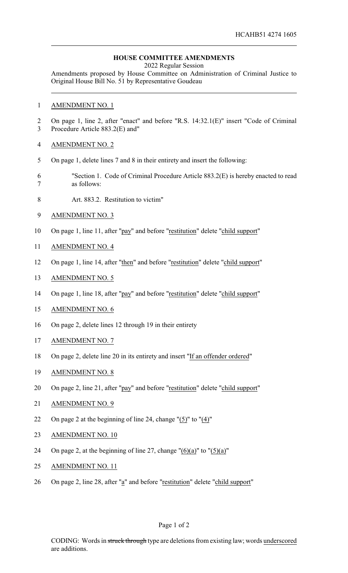## **HOUSE COMMITTEE AMENDMENTS**

2022 Regular Session

Amendments proposed by House Committee on Administration of Criminal Justice to Original House Bill No. 51 by Representative Goudeau

## AMENDMENT NO. 1

- On page 1, line 2, after "enact" and before "R.S. 14:32.1(E)" insert "Code of Criminal Procedure Article 883.2(E) and"
- AMENDMENT NO. 2
- On page 1, delete lines 7 and 8 in their entirety and insert the following:
- "Section 1. Code of Criminal Procedure Article 883.2(E) is hereby enacted to read as follows:
- Art. 883.2. Restitution to victim"
- AMENDMENT NO. 3
- On page 1, line 11, after "pay" and before "restitution" delete "child support"
- AMENDMENT NO. 4
- On page 1, line 14, after "then" and before "restitution" delete "child support"
- AMENDMENT NO. 5
- On page 1, line 18, after "pay" and before "restitution" delete "child support"
- AMENDMENT NO. 6
- On page 2, delete lines 12 through 19 in their entirety
- AMENDMENT NO. 7
- On page 2, delete line 20 in its entirety and insert "If an offender ordered"
- AMENDMENT NO. 8
- 20 On page 2, line 21, after "pay" and before "restitution" delete "child support"
- AMENDMENT NO. 9
- On page 2 at the beginning of line 24, change "(5)" to "(4)"
- AMENDMENT NO. 10
- 24 On page 2, at the beginning of line 27, change " $(6)(a)$ " to " $(5)(a)$ "
- AMENDMENT NO. 11
- 26 On page 2, line 28, after "a" and before "restitution" delete "child support"